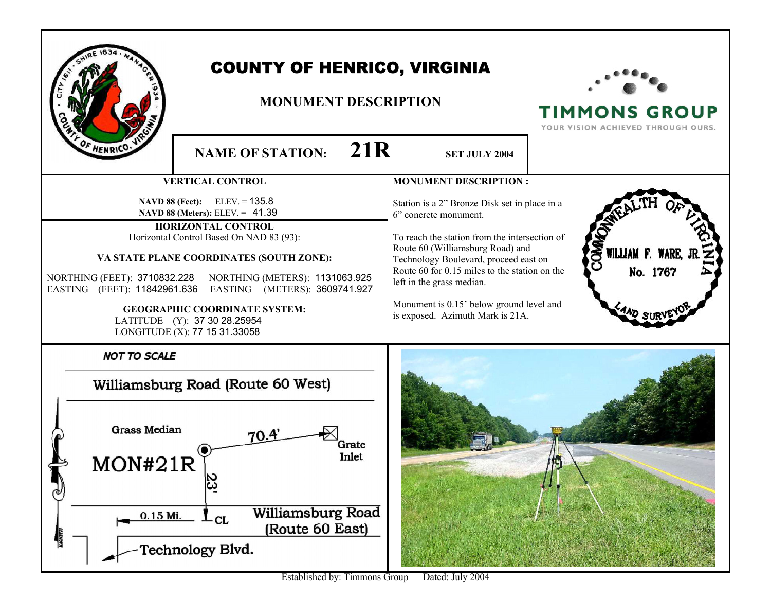| <b>COUNTY OF HENRICO, VIRGINIA</b><br><b>MONUMENT DESCRIPTION</b><br>F HENRICO.<br>21R                                                                                                                                                                                                                                                                                                                                                                                        |  | <b>TIMMONS GROUP</b><br>YOUR VISION ACHIEVED THROUGH OURS.                                                                                                                                                                                                                                                                                                                                                                 |                                                             |
|-------------------------------------------------------------------------------------------------------------------------------------------------------------------------------------------------------------------------------------------------------------------------------------------------------------------------------------------------------------------------------------------------------------------------------------------------------------------------------|--|----------------------------------------------------------------------------------------------------------------------------------------------------------------------------------------------------------------------------------------------------------------------------------------------------------------------------------------------------------------------------------------------------------------------------|-------------------------------------------------------------|
| <b>NAME OF STATION:</b><br><b>VERTICAL CONTROL</b><br>NAVD 88 (Feet): ELEV. = 135.8<br>NAVD 88 (Meters): ELEV. = 41.39<br>HORIZONTAL CONTROL<br>Horizontal Control Based On NAD 83 (93):<br>VA STATE PLANE COORDINATES (SOUTH ZONE):<br>NORTHING (FEET): 3710832.228 NORTHING (METERS): 1131063.925<br>EASTING (FEET): 11842961.636<br>EASTING (METERS): 3609741.927<br><b>GEOGRAPHIC COORDINATE SYSTEM:</b><br>LATITUDE (Y): 37 30 28.25954<br>LONGITUDE (X): 77 15 31.33058 |  | <b>SET JULY 2004</b><br><b>MONUMENT DESCRIPTION:</b><br>Station is a 2" Bronze Disk set in place in a<br>6" concrete monument.<br>To reach the station from the intersection of<br>Route 60 (Williamsburg Road) and<br>Technology Boulevard, proceed east on<br>Route 60 for 0.15 miles to the station on the<br>left in the grass median.<br>Monument is 0.15' below ground level and<br>is exposed. Azimuth Mark is 21A. | <b>OMA</b><br>WILLIAM F. WARE,<br>No. 1767<br><b>WD SUF</b> |
| <b>NOT TO SCALE</b><br>Williamsburg Road (Route 60 West)<br><b>Grass Median</b><br>70.4'<br>Grate<br>Inlet<br>$\frac{23}{2}$<br><b>Williamsburg Road</b><br>0.15 Mi.<br>-CL<br>(Route 60 East)<br>Technology Blvd.                                                                                                                                                                                                                                                            |  |                                                                                                                                                                                                                                                                                                                                                                                                                            |                                                             |

Established by: Timmons Group Dated: July 2004